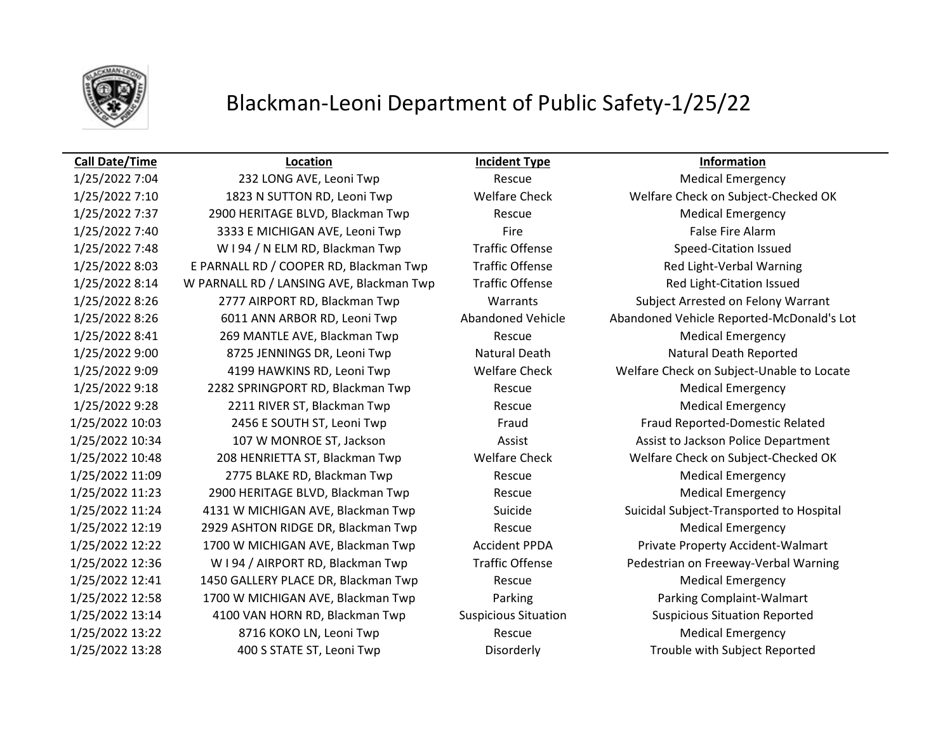

## Blackman-Leoni Department of Public Safety-1/25/22

## **Call Date/Time Location Incident Type Information**

1/25/2022 7:04 232 LONG AVE, Leoni Twp Rescue Rescue Medical Emergency 1/25/2022 7:10 1823 N SUTTON RD, Leoni Twp Welfare Check Welfare Check on Subject-Checked OK 1/25/2022 7:37 2900 HERITAGE BLVD, Blackman Twp Rescue Medical Emergency 1/25/2022 7:40 3333 E MICHIGAN AVE, Leoni Twp Fire False Fire Alarm 1/25/2022 7:48 W I 94 / N ELM RD, Blackman Twp Traffic Offense Speed-Citation Issued 1/25/2022 8:03 E PARNALL RD / COOPER RD, Blackman Twp Traffic Offense Traffic Allem Red Light-Verbal Warning 1/25/2022 8:14 W PARNALL RD / LANSING AVE, Blackman Twp Traffic Offense Red Light-Citation Issued 1/25/2022 8:26 2777 AIRPORT RD, Blackman Twp Warrants Subject Arrested on Felony Warrant 1/25/2022 8:41 269 MANTLE AVE, Blackman Twp Rescue Medical Emergency 1/25/2022 9:00 8725 JENNINGS DR, Leoni Twp Natural Death Natural Death Natural Death Reported 1/25/2022 9:18 2282 SPRINGPORT RD, Blackman Twp Rescue Medical Emergency 1/25/2022 9:28 2211 RIVER ST, Blackman Twp Rescue Rescue Medical Emergency 1/25/2022 10:03 2456 E SOUTH ST, Leoni Twp Fraud Fraud Fraud Fraud Reported-Domestic Related 1/25/2022 10:34 107 W MONROE ST, Jackson Assist Assist to Jackson Police Department 1/25/2022 10:48 208 HENRIETTA ST, Blackman Twp Welfare Check Welfare Check on Subject-Checked OK 1/25/2022 11:09 2775 BLAKE RD, Blackman Twp Rescue Medical Emergency 1/25/2022 11:23 2900 HERITAGE BLVD, Blackman Twp Rescue Rescue Medical Emergency 1/25/2022 12:19 2929 ASHTON RIDGE DR, Blackman Twp Rescue Rescue Medical Emergency 1/25/2022 12:22 1700 W MICHIGAN AVE, Blackman Twp Accident PPDA Private Property Accident-Walmart 1/25/2022 12:41 1450 GALLERY PLACE DR, Blackman Twp Rescue Medical Emergency 1/25/2022 12:58 1700 W MICHIGAN AVE, Blackman Twp Parking Parking Complaint-Walmart 1/25/2022 13:14 4100 VAN HORN RD, Blackman Twp Suspicious Situation Suspicious Situation Reported 1/25/2022 13:22 8716 KOKO LN, Leoni Twp Rescue Medical Emergency 1/25/2022 13:28 400 S STATE ST, Leoni Twp Disorderly Trouble with Subject Reported

1/25/2022 8:26 6011 ANN ARBOR RD, Leoni Twp Abandoned Vehicle Abandoned Vehicle Reported-McDonald's Lot 1/25/2022 9:09 4199 HAWKINS RD, Leoni Twp Welfare Check Welfare Check on Subject-Unable to Locate 1/25/2022 11:24 4131 W MICHIGAN AVE, Blackman Twp Suicide Suicidal Subject-Transported to Hospital 1/25/2022 12:36 W I 94 / AIRPORT RD, Blackman Twp Traffic Offense Pedestrian on Freeway-Verbal Warning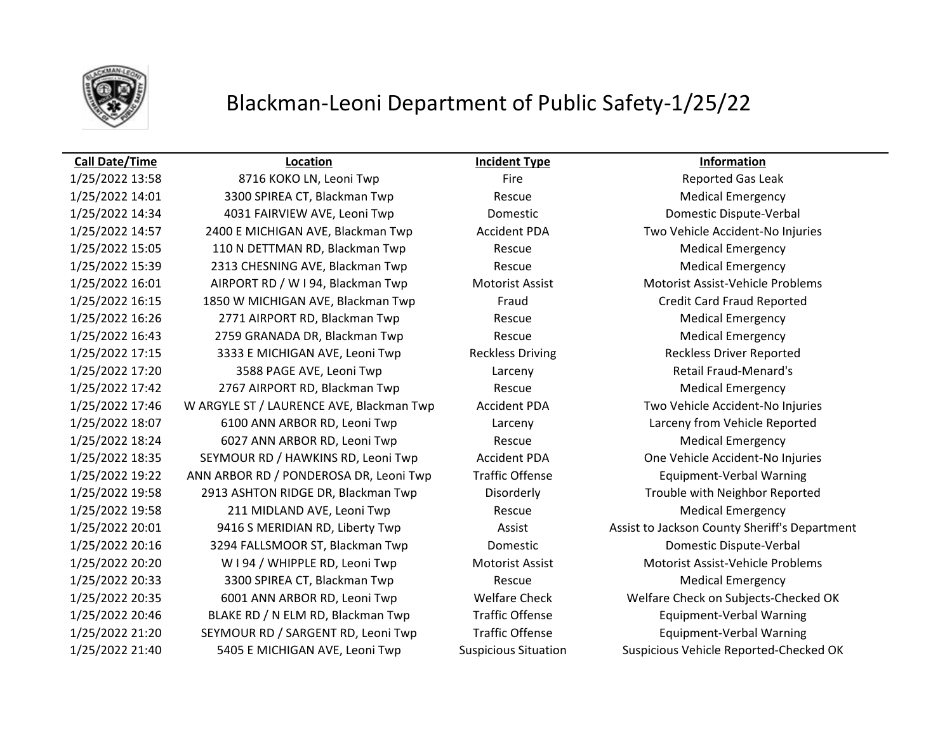

## Blackman-Leoni Department of Public Safety-1/25/22

## **Call Date/Time Location Incident Type Information**

1/25/2022 14:01 3300 SPIREA CT, Blackman Twp Rescue Rescue Medical Emergency 1/25/2022 14:34 4031 FAIRVIEW AVE, Leoni Twp Domestic Domestic Dispute-Verbal 1/25/2022 14:57 2400 E MICHIGAN AVE, Blackman Twp Accident PDA Two Vehicle Accident-No Injuries 1/25/2022 15:05 110 N DETTMAN RD, Blackman Twp Rescue Rescue Medical Emergency 1/25/2022 15:39 2313 CHESNING AVE, Blackman Twp Rescue Rescue Medical Emergency 1/25/2022 16:01 AIRPORT RD / W I 94, Blackman Twp Motorist Assist Motorist Assist-Vehicle Problems 1/25/2022 16:15 1850 W MICHIGAN AVE, Blackman Twp Fraud Credit Card Fraud Reported 1/25/2022 16:26 2771 AIRPORT RD, Blackman Twp Rescue Rescue Medical Emergency 1/25/2022 16:43 2759 GRANADA DR, Blackman Twp Rescue Medical Emergency 1/25/2022 17:15 3333 E MICHIGAN AVE, Leoni Twp Reckless Driving Reckless Driver Reported 1/25/2022 17:20 3588 PAGE AVE, Leoni Twp Larceny Retail Fraud-Menard's 1/25/2022 17:42 2767 AIRPORT RD, Blackman Twp Rescue Medical Emergency 1/25/2022 17:46 W ARGYLE ST / LAURENCE AVE, Blackman Twp Accident PDA Two Vehicle Accident-No Injuries 1/25/2022 18:07 6100 ANN ARBOR RD, Leoni Twp Larceny Larceny from Vehicle Reported 1/25/2022 18:24 6027 ANN ARBOR RD, Leoni Twp Rescue Medical Emergency 1/25/2022 18:35 SEYMOUR RD / HAWKINS RD, Leoni Twp Accident PDA One Vehicle Accident-No Injuries 1/25/2022 19:22 ANN ARBOR RD / PONDEROSA DR, Leoni Twp Traffic Offense Equipment-Verbal Warning 1/25/2022 19:58 2913 ASHTON RIDGE DR, Blackman Twp Disorderly Trouble with Neighbor Reported 1/25/2022 19:58 211 MIDLAND AVE, Leoni Twp Rescue Medical Emergency 1/25/2022 20:01 9416 S MERIDIAN RD, Liberty Twp Assist Assist Assist to Jackson County Sheriff's Department 1/25/2022 20:16 3294 FALLSMOOR ST, Blackman Twp Domestic Domestic Dispute-Verbal 1/25/2022 20:20 W I 94 / WHIPPLE RD, Leoni Twp Motorist Assist Motorist Assist-Vehicle Problems 1/25/2022 20:33 3300 SPIREA CT, Blackman Twp Rescue Rescue Medical Emergency 1/25/2022 20:35 6001 ANN ARBOR RD, Leoni Twp Welfare Check Welfare Check on Subjects-Checked OK 1/25/2022 20:46 BLAKE RD / N ELM RD, Blackman Twp Traffic Offense Equipment-Verbal Warning 1/25/2022 21:20 SEYMOUR RD / SARGENT RD, Leoni Twp Traffic Offense Equipment-Verbal Warning 1/25/2022 21:40 5405 E MICHIGAN AVE, Leoni Twp Suspicious Situation Suspicious Vehicle Reported-Checked OK

1/25/2022 13:58 6716 KOKO LN, Leoni Twp Fire Fire Reported Gas Leak